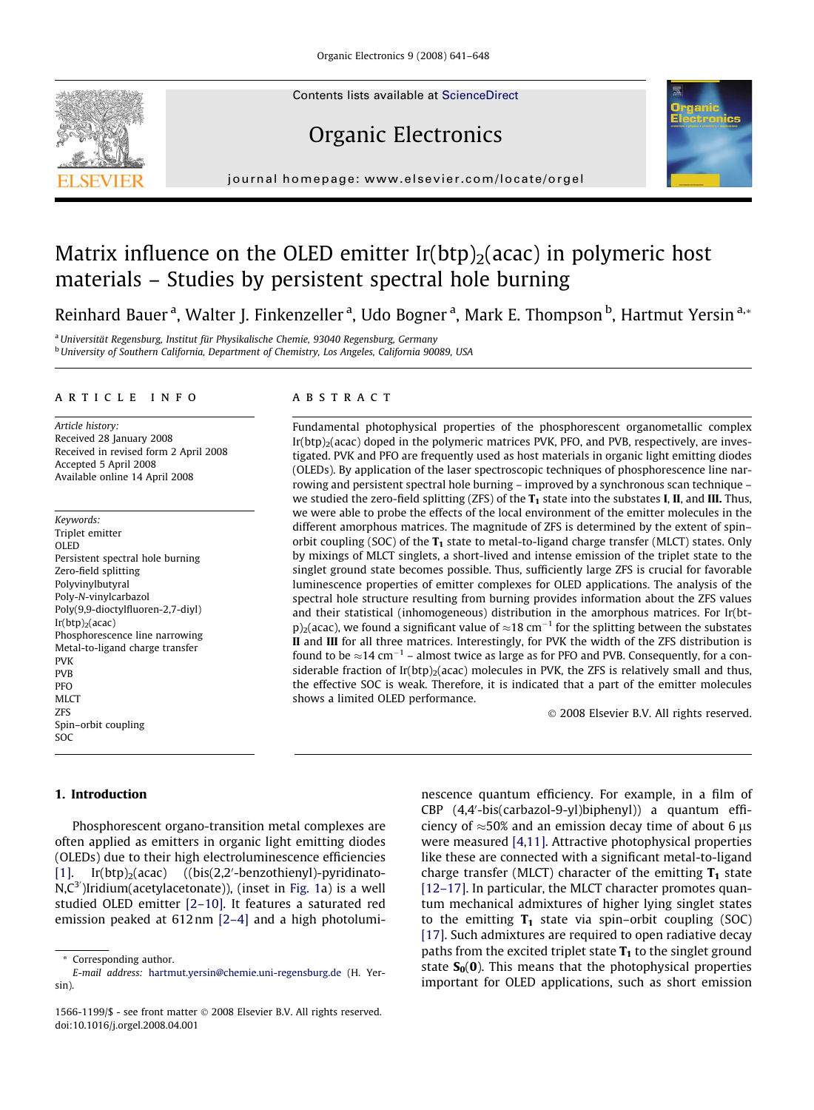Contents lists available at [ScienceDirect](http://www.sciencedirect.com/science/journal/15661199)

# Organic Electronics



journal homepage: [www.elsevier.com/locate/orgel](http://www.elsevier.com/locate/orgel)

# Matrix influence on the OLED emitter  $Ir(btp)<sub>2</sub>(acac)$  in polymeric host materials – Studies by persistent spectral hole burning

Reinhard Bauer <sup>a</sup>, Walter J. Finkenzeller <sup>a</sup>, Udo Bogner <sup>a</sup>, Mark E. Thompson <sup>b</sup>, Hartmut Yersin <sup>a,</sup>\*

<sup>a</sup> Universität Regensburg, Institut für Physikalische Chemie, 93040 Regensburg, Germany <sup>b</sup> University of Southern California, Department of Chemistry, Los Angeles, California 90089, USA

#### article info

Article history: Received 28 January 2008 Received in revised form 2 April 2008 Accepted 5 April 2008 Available online 14 April 2008

Keywords: Triplet emitter **OLED** Persistent spectral hole burning Zero-field splitting Polyvinylbutyral Poly-N-vinylcarbazol Poly(9,9-dioctylfluoren-2,7-diyl)  $Ir(btp)_{2}(acac)$ Phosphorescence line narrowing Metal-to-ligand charge transfer PVK PVB **PFO** MLCT ZFS Spin–orbit coupling SOC

### **ABSTRACT**

Fundamental photophysical properties of the phosphorescent organometallic complex  $Ir(btp)<sub>2</sub>(acac)$  doped in the polymeric matrices PVK, PFO, and PVB, respectively, are investigated. PVK and PFO are frequently used as host materials in organic light emitting diodes (OLEDs). By application of the laser spectroscopic techniques of phosphorescence line narrowing and persistent spectral hole burning – improved by a synchronous scan technique – we studied the zero-field splitting (ZFS) of the  $T_1$  state into the substates I, II, and III. Thus, we were able to probe the effects of the local environment of the emitter molecules in the different amorphous matrices. The magnitude of ZFS is determined by the extent of spin– orbit coupling (SOC) of the  $T_1$  state to metal-to-ligand charge transfer (MLCT) states. Only by mixings of MLCT singlets, a short-lived and intense emission of the triplet state to the singlet ground state becomes possible. Thus, sufficiently large ZFS is crucial for favorable luminescence properties of emitter complexes for OLED applications. The analysis of the spectral hole structure resulting from burning provides information about the ZFS values and their statistical (inhomogeneous) distribution in the amorphous matrices. For Ir(btp)<sub>2</sub>(acac), we found a significant value of  $\approx$ 18 cm<sup>-1</sup> for the splitting between the substates II and III for all three matrices. Interestingly, for PVK the width of the ZFS distribution is found to be  $\approx$ 14 cm<sup>-1</sup> – almost twice as large as for PFO and PVB. Consequently, for a considerable fraction of  $Ir(btp)_2$ (acac) molecules in PVK, the ZFS is relatively small and thus, the effective SOC is weak. Therefore, it is indicated that a part of the emitter molecules shows a limited OLED performance.

- 2008 Elsevier B.V. All rights reserved.

#### 1. Introduction

Phosphorescent organo-transition metal complexes are often applied as emitters in organic light emitting diodes (OLEDs) due to their high electroluminescence efficiencies  $[1]$ . Ir $(btp)_2$ (acac) ((bis(2,2'-benzothienyl)-pyridinato-N,C<sup>3'</sup>)Iridium(acetylacetonate)), (inset in [Fig. 1a](#page-1-0)) is a well studied OLED emitter [\[2–10\]](#page-6-0). It features a saturated red emission peaked at 612nm [\[2–4\]](#page-6-0) and a high photolumi-

nescence quantum efficiency. For example, in a film of CBP (4,4'-bis(carbazol-9-yl)biphenyl)) a quantum efficiency of  $\approx$  50% and an emission decay time of about 6  $\mu$ s were measured [\[4,11\].](#page-6-0) Attractive photophysical properties like these are connected with a significant metal-to-ligand charge transfer (MLCT) character of the emitting  $T_1$  state [\[12–17\].](#page-6-0) In particular, the MLCT character promotes quantum mechanical admixtures of higher lying singlet states to the emitting  $T_1$  state via spin–orbit coupling (SOC) [\[17\]](#page-6-0). Such admixtures are required to open radiative decay paths from the excited triplet state  $T_1$  to the singlet ground state  $S_0(0)$ . This means that the photophysical properties important for OLED applications, such as short emission

<sup>\*</sup> Corresponding author.

E-mail address: [hartmut.yersin@chemie.uni-regensburg.de](mailto:hartmut.yersin@chemie.uni-regensburg.de) (H. Yersin).

<sup>1566-1199/\$ -</sup> see front matter © 2008 Elsevier B.V. All rights reserved. doi:10.1016/j.orgel.2008.04.001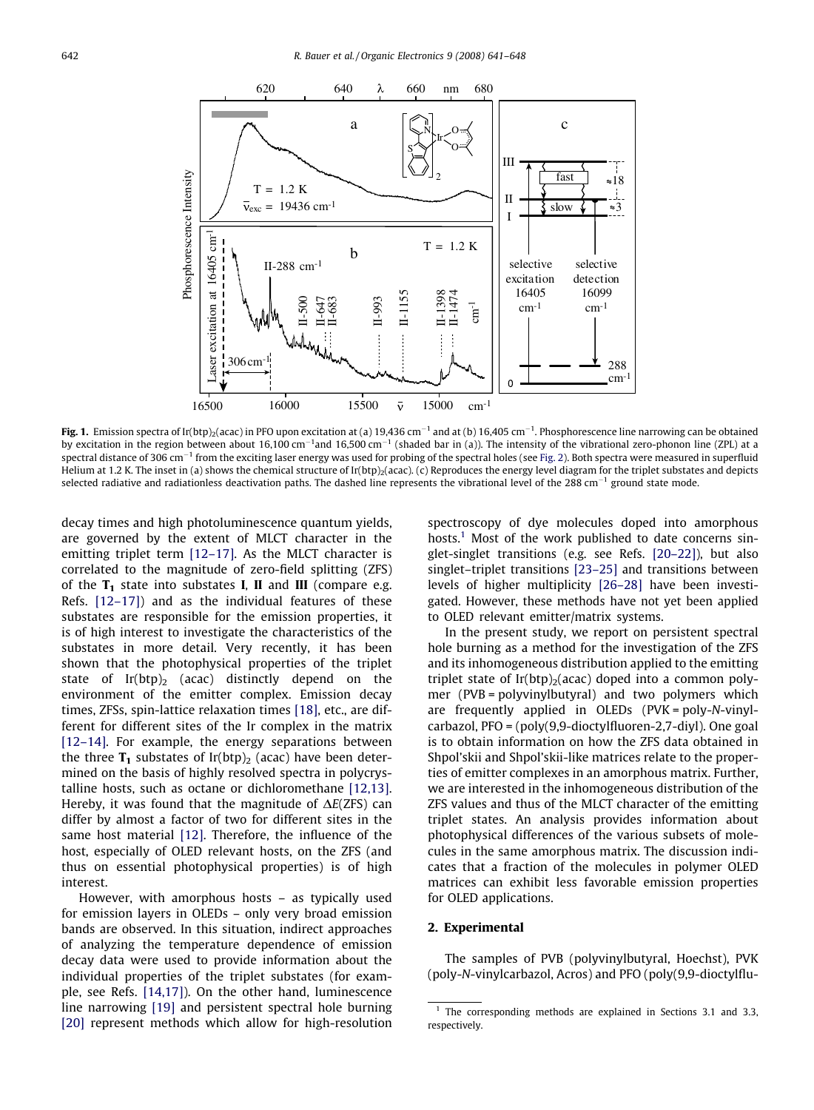<span id="page-1-0"></span>

**Fig. 1.** Emission spectra of Ir(btp)<sub>2</sub>(acac) in PFO upon excitation at (a) 19,436 cm $^{-1}$  and at (b) 16,405 cm $^{-1}$ . Phosphorescence line narrowing can be obtained by excitation in the region between about 16,100 cm<sup>-1</sup>and 16,500 cm<sup>-1</sup> (shaded bar in (a)). The intensity of the vibrational zero-phonon line (ZPL) at a spectral distance of 306 cm<sup>-1</sup> from the exciting laser energy was used for probing of the spectral holes (see [Fig. 2](#page-3-0)). Both spectra were measured in superfluid Helium at 1.2 K. The inset in (a) shows the chemical structure of  $Ir(btp)$  (acac). (c) Reproduces the energy level diagram for the triplet substates and depicts selected radiative and radiationless deactivation paths. The dashed line represents the vibrational level of the  $288 \text{ cm}^{-1}$  ground state mode.

decay times and high photoluminescence quantum yields, are governed by the extent of MLCT character in the emitting triplet term [\[12–17\].](#page-6-0) As the MLCT character is correlated to the magnitude of zero-field splitting (ZFS) of the  $T_1$  state into substates I, II and III (compare e.g. Refs. [\[12–17\]\)](#page-6-0) and as the individual features of these substates are responsible for the emission properties, it is of high interest to investigate the characteristics of the substates in more detail. Very recently, it has been shown that the photophysical properties of the triplet state of  $Ir(btp)$  (acac) distinctly depend on the environment of the emitter complex. Emission decay times, ZFSs, spin-lattice relaxation times [\[18\],](#page-6-0) etc., are different for different sites of the Ir complex in the matrix [\[12–14\].](#page-6-0) For example, the energy separations between the three  $T_1$  substates of Ir(btp)<sub>2</sub> (acac) have been determined on the basis of highly resolved spectra in polycrystalline hosts, such as octane or dichloromethane [\[12,13\]](#page-6-0). Hereby, it was found that the magnitude of  $\Delta E(ZFS)$  can differ by almost a factor of two for different sites in the same host material [\[12\]](#page-6-0). Therefore, the influence of the host, especially of OLED relevant hosts, on the ZFS (and thus on essential photophysical properties) is of high interest.

However, with amorphous hosts – as typically used for emission layers in OLEDs – only very broad emission bands are observed. In this situation, indirect approaches of analyzing the temperature dependence of emission decay data were used to provide information about the individual properties of the triplet substates (for example, see Refs. [\[14,17\]\)](#page-6-0). On the other hand, luminescence line narrowing [\[19\]](#page-6-0) and persistent spectral hole burning [\[20\]](#page-7-0) represent methods which allow for high-resolution

spectroscopy of dye molecules doped into amorphous hosts.<sup>1</sup> Most of the work published to date concerns singlet-singlet transitions (e.g. see Refs. [\[20–22\]\)](#page-7-0), but also singlet–triplet transitions [\[23–25\]](#page-7-0) and transitions between levels of higher multiplicity [\[26–28\]](#page-7-0) have been investigated. However, these methods have not yet been applied to OLED relevant emitter/matrix systems.

In the present study, we report on persistent spectral hole burning as a method for the investigation of the ZFS and its inhomogeneous distribution applied to the emitting triplet state of  $Ir(btp)_{2}(acac)$  doped into a common polymer (PVB = polyvinylbutyral) and two polymers which are frequently applied in OLEDs (PVK = poly-N-vinylcarbazol, PFO = (poly(9,9-dioctylfluoren-2,7-diyl). One goal is to obtain information on how the ZFS data obtained in Shpol'skii and Shpol'skii-like matrices relate to the properties of emitter complexes in an amorphous matrix. Further, we are interested in the inhomogeneous distribution of the ZFS values and thus of the MLCT character of the emitting triplet states. An analysis provides information about photophysical differences of the various subsets of molecules in the same amorphous matrix. The discussion indicates that a fraction of the molecules in polymer OLED matrices can exhibit less favorable emission properties for OLED applications.

## 2. Experimental

The samples of PVB (polyvinylbutyral, Hoechst), PVK (poly-N-vinylcarbazol, Acros) and PFO (poly(9,9-dioctylflu-

<sup>&</sup>lt;sup>1</sup> The corresponding methods are explained in Sections 3.1 and 3.3, respectively.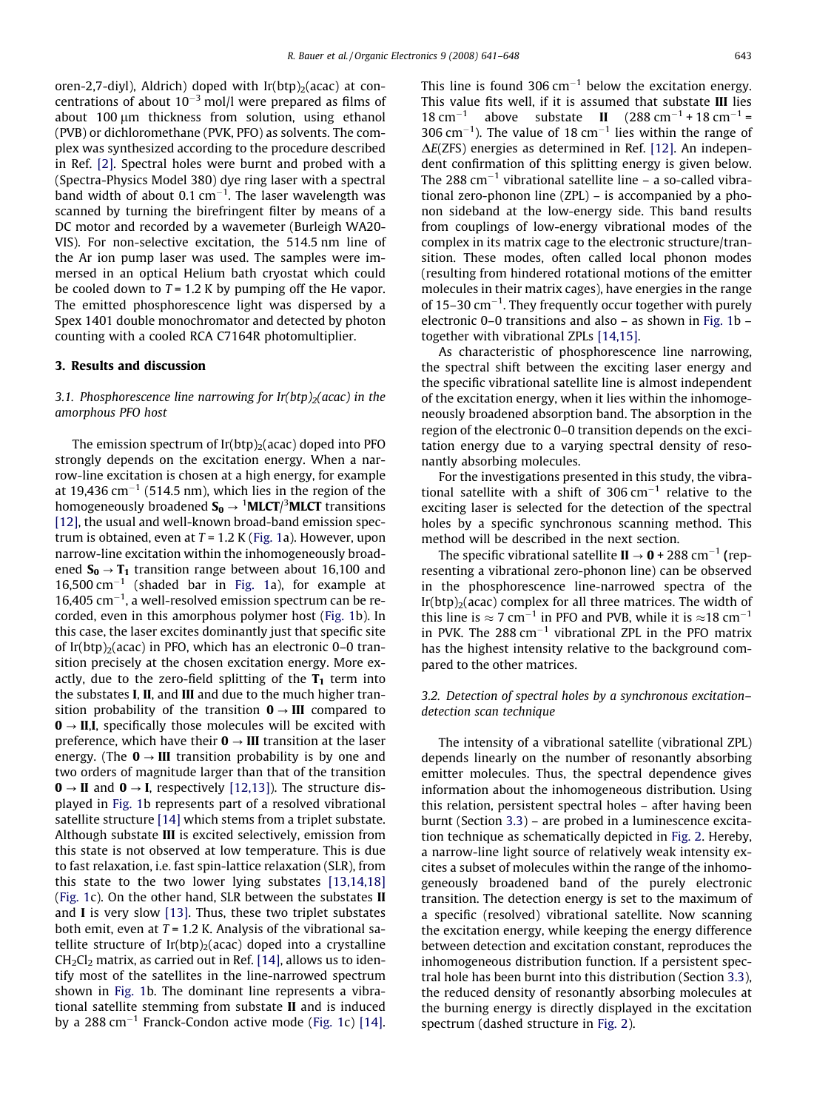oren-2,7-diyl), Aldrich) doped with  $Ir(btp)_2$ (acac) at concentrations of about  $10^{-3}$  mol/l were prepared as films of about  $100 \mu m$  thickness from solution, using ethanol (PVB) or dichloromethane (PVK, PFO) as solvents. The complex was synthesized according to the procedure described in Ref. [\[2\].](#page-6-0) Spectral holes were burnt and probed with a (Spectra-Physics Model 380) dye ring laser with a spectral band width of about 0.1  $\text{cm}^{-1}$ . The laser wavelength was scanned by turning the birefringent filter by means of a DC motor and recorded by a wavemeter (Burleigh WA20- VIS). For non-selective excitation, the 514.5 nm line of the Ar ion pump laser was used. The samples were immersed in an optical Helium bath cryostat which could be cooled down to  $T = 1.2$  K by pumping off the He vapor. The emitted phosphorescence light was dispersed by a Spex 1401 double monochromator and detected by photon counting with a cooled RCA C7164R photomultiplier.

#### 3. Results and discussion

# 3.1. Phosphorescence line narrowing for  $Ir(btp)_2$ (acac) in the amorphous PFO host

The emission spectrum of  $Ir(btp)_2$ (acac) doped into PFO strongly depends on the excitation energy. When a narrow-line excitation is chosen at a high energy, for example at 19,436 cm<sup>-1</sup> (514.5 nm), which lies in the region of the homogeneously broadened  ${\mathsf S}_{\mathsf 0} \to {}^1{\mathsf M} {\mathsf L} {\mathsf C} {\mathsf T} /{}^3{\mathsf M} {\mathsf L} {\mathsf C} {\mathsf T}$  transitions [\[12\]](#page-6-0), the usual and well-known broad-band emission spectrum is obtained, even at  $T = 1.2$  K ([Fig. 1](#page-1-0)a). However, upon narrow-line excitation within the inhomogeneously broadened  $S_0 \rightarrow T_1$  transition range between about 16,100 and  $16,500$  cm<sup>-1</sup> (shaded bar in [Fig. 1](#page-1-0)a), for example at  $16,405$  cm<sup>-1</sup>, a well-resolved emission spectrum can be recorded, even in this amorphous polymer host [\(Fig. 1b](#page-1-0)). In this case, the laser excites dominantly just that specific site of Ir(btp)<sub>2</sub>(acac) in PFO, which has an electronic 0–0 transition precisely at the chosen excitation energy. More exactly, due to the zero-field splitting of the  $T_1$  term into the substates I, II, and III and due to the much higher transition probability of the transition  $\mathbf{0} \rightarrow \mathbf{III}$  compared to  $0 \rightarrow$  II, I, specifically those molecules will be excited with preference, which have their  $\mathbf{0} \rightarrow \mathbf{III}$  transition at the laser energy. (The  $\mathbf{0} \rightarrow \mathbf{III}$  transition probability is by one and two orders of magnitude larger than that of the transition  $0 \rightarrow II$  and  $0 \rightarrow I$ , respectively [\[12,13\]\)](#page-6-0). The structure displayed in [Fig. 1](#page-1-0)b represents part of a resolved vibrational satellite structure [\[14\]](#page-6-0) which stems from a triplet substate. Although substate III is excited selectively, emission from this state is not observed at low temperature. This is due to fast relaxation, i.e. fast spin-lattice relaxation (SLR), from this state to the two lower lying substates [\[13,14,18\]](#page-6-0) ([Fig. 1c](#page-1-0)). On the other hand, SLR between the substates II and I is very slow [\[13\].](#page-6-0) Thus, these two triplet substates both emit, even at  $T = 1.2$  K. Analysis of the vibrational satellite structure of  $Ir(btp)_2$ (acac) doped into a crystalline  $CH<sub>2</sub>Cl<sub>2</sub>$  matrix, as carried out in Ref. [\[14\]](#page-6-0), allows us to identify most of the satellites in the line-narrowed spectrum shown in [Fig. 1](#page-1-0)b. The dominant line represents a vibrational satellite stemming from substate II and is induced by a 288  $cm^{-1}$  Franck-Condon active mode [\(Fig. 1](#page-1-0)c) [\[14\]](#page-6-0). This line is found 306  $cm^{-1}$  below the excitation energy. This value fits well, if it is assumed that substate III lies 18 cm<sup>-1</sup> above substate **II**  $(288 \text{ cm}^{-1} + 18 \text{ cm}^{-1} =$ 306 cm<sup>-1</sup>). The value of 18 cm<sup>-1</sup> lies within the range of  $\Delta E(ZFS)$  energies as determined in Ref. [\[12\].](#page-6-0) An independent confirmation of this splitting energy is given below. The 288  $cm^{-1}$  vibrational satellite line – a so-called vibrational zero-phonon line (ZPL) – is accompanied by a phonon sideband at the low-energy side. This band results from couplings of low-energy vibrational modes of the complex in its matrix cage to the electronic structure/transition. These modes, often called local phonon modes (resulting from hindered rotational motions of the emitter molecules in their matrix cages), have energies in the range of 15-30  $cm^{-1}$ . They frequently occur together with purely electronic 0–0 transitions and also – as shown in [Fig. 1](#page-1-0)b – together with vibrational ZPLs [\[14,15\].](#page-6-0)

As characteristic of phosphorescence line narrowing, the spectral shift between the exciting laser energy and the specific vibrational satellite line is almost independent of the excitation energy, when it lies within the inhomogeneously broadened absorption band. The absorption in the region of the electronic 0–0 transition depends on the excitation energy due to a varying spectral density of resonantly absorbing molecules.

For the investigations presented in this study, the vibrational satellite with a shift of 306 cm $^{-1}$  relative to the exciting laser is selected for the detection of the spectral holes by a specific synchronous scanning method. This method will be described in the next section.

The specific vibrational satellite  $II \rightarrow 0 + 288$  cm<sup>-1</sup> (representing a vibrational zero-phonon line) can be observed in the phosphorescence line-narrowed spectra of the  $Ir(btp)<sub>2</sub>(acac)$  complex for all three matrices. The width of this line is  $\approx 7 \text{ cm}^{-1}$  in PFO and PVB, while it is  $\approx 18 \text{ cm}^{-1}$ in PVK. The  $288 \text{ cm}^{-1}$  vibrational ZPL in the PFO matrix has the highest intensity relative to the background compared to the other matrices.

# 3.2. Detection of spectral holes by a synchronous excitation– detection scan technique

The intensity of a vibrational satellite (vibrational ZPL) depends linearly on the number of resonantly absorbing emitter molecules. Thus, the spectral dependence gives information about the inhomogeneous distribution. Using this relation, persistent spectral holes – after having been burnt (Section 3.3) – are probed in a luminescence excitation technique as schematically depicted in [Fig. 2.](#page-3-0) Hereby, a narrow-line light source of relatively weak intensity excites a subset of molecules within the range of the inhomogeneously broadened band of the purely electronic transition. The detection energy is set to the maximum of a specific (resolved) vibrational satellite. Now scanning the excitation energy, while keeping the energy difference between detection and excitation constant, reproduces the inhomogeneous distribution function. If a persistent spectral hole has been burnt into this distribution (Section 3.3), the reduced density of resonantly absorbing molecules at the burning energy is directly displayed in the excitation spectrum (dashed structure in [Fig. 2](#page-3-0)).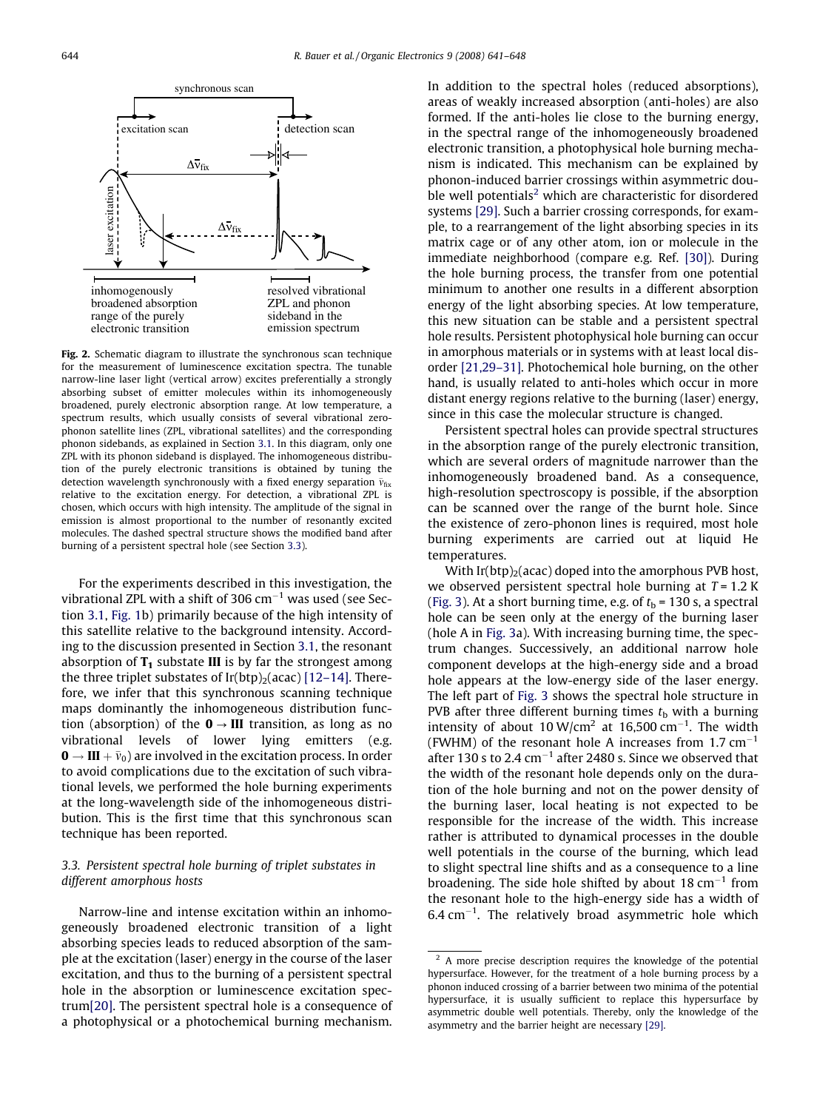<span id="page-3-0"></span>

Fig. 2. Schematic diagram to illustrate the synchronous scan technique for the measurement of luminescence excitation spectra. The tunable narrow-line laser light (vertical arrow) excites preferentially a strongly absorbing subset of emitter molecules within its inhomogeneously broadened, purely electronic absorption range. At low temperature, a spectrum results, which usually consists of several vibrational zerophonon satellite lines (ZPL, vibrational satellites) and the corresponding phonon sidebands, as explained in Section 3.1. In this diagram, only one ZPL with its phonon sideband is displayed. The inhomogeneous distribution of the purely electronic transitions is obtained by tuning the detection wavelength synchronously with a fixed energy separation  $\bar{v}_{\text{fix}}$ relative to the excitation energy. For detection, a vibrational ZPL is chosen, which occurs with high intensity. The amplitude of the signal in emission is almost proportional to the number of resonantly excited molecules. The dashed spectral structure shows the modified band after burning of a persistent spectral hole (see Section 3.3).

For the experiments described in this investigation, the vibrational ZPL with a shift of 306  $cm^{-1}$  was used (see Section 3.1, [Fig. 1b](#page-1-0)) primarily because of the high intensity of this satellite relative to the background intensity. According to the discussion presented in Section 3.1, the resonant absorption of  $T_1$  substate III is by far the strongest among the three triplet substates of  $Ir(btp)_2(acac)$  [\[12–14\]](#page-6-0). Therefore, we infer that this synchronous scanning technique maps dominantly the inhomogeneous distribution function (absorption) of the  $0 \rightarrow III$  transition, as long as no vibrational levels of lower lying emitters (e.g.  $\mathbf{0} \to \mathbf{III} + \bar{\mathbf{v}}_0$ ) are involved in the excitation process. In order to avoid complications due to the excitation of such vibrational levels, we performed the hole burning experiments at the long-wavelength side of the inhomogeneous distribution. This is the first time that this synchronous scan technique has been reported.

### 3.3. Persistent spectral hole burning of triplet substates in different amorphous hosts

Narrow-line and intense excitation within an inhomogeneously broadened electronic transition of a light absorbing species leads to reduced absorption of the sample at the excitation (laser) energy in the course of the laser excitation, and thus to the burning of a persistent spectral hole in the absorption or luminescence excitation spectru[m\[20\]](#page-7-0). The persistent spectral hole is a consequence of a photophysical or a photochemical burning mechanism.

In addition to the spectral holes (reduced absorptions), areas of weakly increased absorption (anti-holes) are also formed. If the anti-holes lie close to the burning energy, in the spectral range of the inhomogeneously broadened electronic transition, a photophysical hole burning mechanism is indicated. This mechanism can be explained by phonon-induced barrier crossings within asymmetric double well potentials<sup>2</sup> which are characteristic for disordered systems [\[29\]](#page-7-0). Such a barrier crossing corresponds, for example, to a rearrangement of the light absorbing species in its matrix cage or of any other atom, ion or molecule in the immediate neighborhood (compare e.g. Ref. [\[30\]](#page-7-0)). During the hole burning process, the transfer from one potential minimum to another one results in a different absorption energy of the light absorbing species. At low temperature, this new situation can be stable and a persistent spectral hole results. Persistent photophysical hole burning can occur in amorphous materials or in systems with at least local disorder [\[21,29–31\].](#page-7-0) Photochemical hole burning, on the other hand, is usually related to anti-holes which occur in more distant energy regions relative to the burning (laser) energy, since in this case the molecular structure is changed.

Persistent spectral holes can provide spectral structures in the absorption range of the purely electronic transition, which are several orders of magnitude narrower than the inhomogeneously broadened band. As a consequence, high-resolution spectroscopy is possible, if the absorption can be scanned over the range of the burnt hole. Since the existence of zero-phonon lines is required, most hole burning experiments are carried out at liquid He temperatures.

With  $Ir(btp)_2$ (acac) doped into the amorphous PVB host, we observed persistent spectral hole burning at  $T = 1.2$  K [\(Fig. 3](#page-4-0)). At a short burning time, e.g. of  $t<sub>b</sub> = 130$  s, a spectral hole can be seen only at the energy of the burning laser (hole A in [Fig. 3](#page-4-0)a). With increasing burning time, the spectrum changes. Successively, an additional narrow hole component develops at the high-energy side and a broad hole appears at the low-energy side of the laser energy. The left part of [Fig. 3](#page-4-0) shows the spectral hole structure in PVB after three different burning times  $t<sub>b</sub>$  with a burning intensity of about 10 W/cm<sup>2</sup> at 16,500 cm<sup>-1</sup>. The width (FWHM) of the resonant hole A increases from  $1.7 \text{ cm}^{-1}$ after 130 s to 2.4  $cm^{-1}$  after 2480 s. Since we observed that the width of the resonant hole depends only on the duration of the hole burning and not on the power density of the burning laser, local heating is not expected to be responsible for the increase of the width. This increase rather is attributed to dynamical processes in the double well potentials in the course of the burning, which lead to slight spectral line shifts and as a consequence to a line broadening. The side hole shifted by about 18  $cm^{-1}$  from the resonant hole to the high-energy side has a width of  $6.4$  cm<sup>-1</sup>. The relatively broad asymmetric hole which

<sup>&</sup>lt;sup>2</sup> A more precise description requires the knowledge of the potential hypersurface. However, for the treatment of a hole burning process by a phonon induced crossing of a barrier between two minima of the potential hypersurface, it is usually sufficient to replace this hypersurface by asymmetric double well potentials. Thereby, only the knowledge of the asymmetry and the barrier height are necessary [\[29\].](#page-7-0)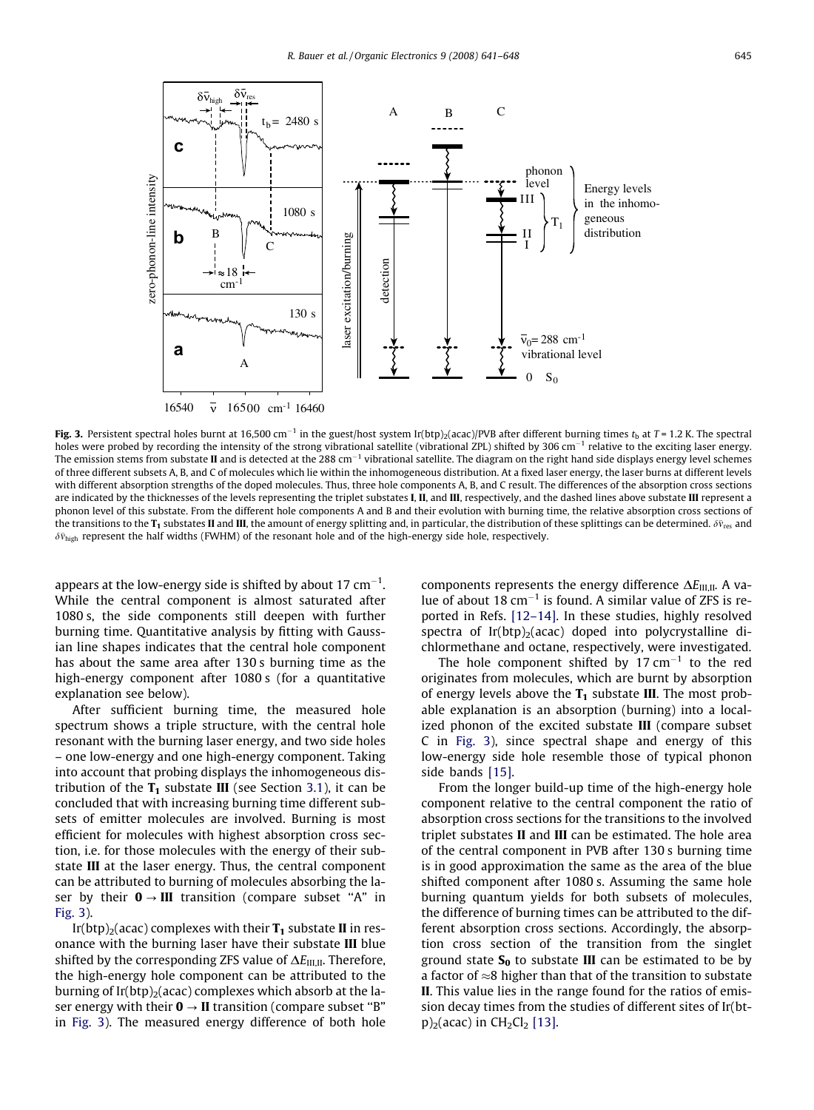<span id="page-4-0"></span>

Fig. 3. Persistent spectral holes burnt at 16,500 cm<sup>-1</sup> in the guest/host system Ir(btp)<sub>2</sub>(acac)/PVB after different burning times t<sub>b</sub> at T = 1.2 K. The spectral holes were probed by recording the intensity of the strong vibrational satellite (vibrational ZPL) shifted by 306 cm<sup>-1</sup> relative to the exciting laser energy. The emission stems from substate II and is detected at the 288 cm<sup>-1</sup> vibrational satellite. The diagram on the right hand side displays energy level schemes of three different subsets A, B, and C of molecules which lie within the inhomogeneous distribution. At a fixed laser energy, the laser burns at different levels with different absorption strengths of the doped molecules. Thus, three hole components A, B, and C result. The differences of the absorption cross sections are indicated by the thicknesses of the levels representing the triplet substates I, II, and III, respectively, and the dashed lines above substate III represent a phonon level of this substate. From the different hole components A and B and their evolution with burning time, the relative absorption cross sections of the transitions to the  ${\bf T_1}$  substates **II** and **III**, the amount of energy splitting and, in particular, the distribution of these splittings can be determined.  $\delta {\rm{\tilde{v}}}_{\rm res}$  and  $\delta\bar{v}_{high}$  represent the half widths (FWHM) of the resonant hole and of the high-energy side hole, respectively.

appears at the low-energy side is shifted by about 17  $\rm cm^{-1}$ . While the central component is almost saturated after 1080 s, the side components still deepen with further burning time. Quantitative analysis by fitting with Gaussian line shapes indicates that the central hole component has about the same area after 130 s burning time as the high-energy component after 1080 s (for a quantitative explanation see below).

After sufficient burning time, the measured hole spectrum shows a triple structure, with the central hole resonant with the burning laser energy, and two side holes – one low-energy and one high-energy component. Taking into account that probing displays the inhomogeneous distribution of the  $T_1$  substate III (see Section 3.1), it can be concluded that with increasing burning time different subsets of emitter molecules are involved. Burning is most efficient for molecules with highest absorption cross section, i.e. for those molecules with the energy of their substate III at the laser energy. Thus, the central component can be attributed to burning of molecules absorbing the laser by their  $0 \rightarrow III$  transition (compare subset "A" in Fig. 3).

Ir(btp)<sub>2</sub>(acac) complexes with their  $T_1$  substate II in resonance with the burning laser have their substate III blue shifted by the corresponding ZFS value of  $\Delta E_{\text{III II}}$ . Therefore, the high-energy hole component can be attributed to the burning of Ir(btp)<sub>2</sub>(acac) complexes which absorb at the laser energy with their  $\mathbf{0} \rightarrow \mathbf{I}$  transition (compare subset "B" in Fig. 3). The measured energy difference of both hole components represents the energy difference  $\Delta E_{\text{III II}}$ . A value of about 18  $cm^{-1}$  is found. A similar value of ZFS is reported in Refs. [\[12–14\].](#page-6-0) In these studies, highly resolved spectra of  $Ir(btp)_{2}(acac)$  doped into polycrystalline dichlormethane and octane, respectively, were investigated.

The hole component shifted by 17  $cm^{-1}$  to the red originates from molecules, which are burnt by absorption of energy levels above the  $T_1$  substate III. The most probable explanation is an absorption (burning) into a localized phonon of the excited substate III (compare subset C in Fig. 3), since spectral shape and energy of this low-energy side hole resemble those of typical phonon side bands [\[15\]](#page-6-0).

From the longer build-up time of the high-energy hole component relative to the central component the ratio of absorption cross sections for the transitions to the involved triplet substates II and III can be estimated. The hole area of the central component in PVB after 130 s burning time is in good approximation the same as the area of the blue shifted component after 1080 s. Assuming the same hole burning quantum yields for both subsets of molecules, the difference of burning times can be attributed to the different absorption cross sections. Accordingly, the absorption cross section of the transition from the singlet ground state  $S_0$  to substate III can be estimated to be by a factor of  $\approx$ 8 higher than that of the transition to substate II. This value lies in the range found for the ratios of emission decay times from the studies of different sites of Ir(bt $p$ <sub>2</sub>(acac) in CH<sub>2</sub>Cl<sub>2</sub> [\[13\].](#page-6-0)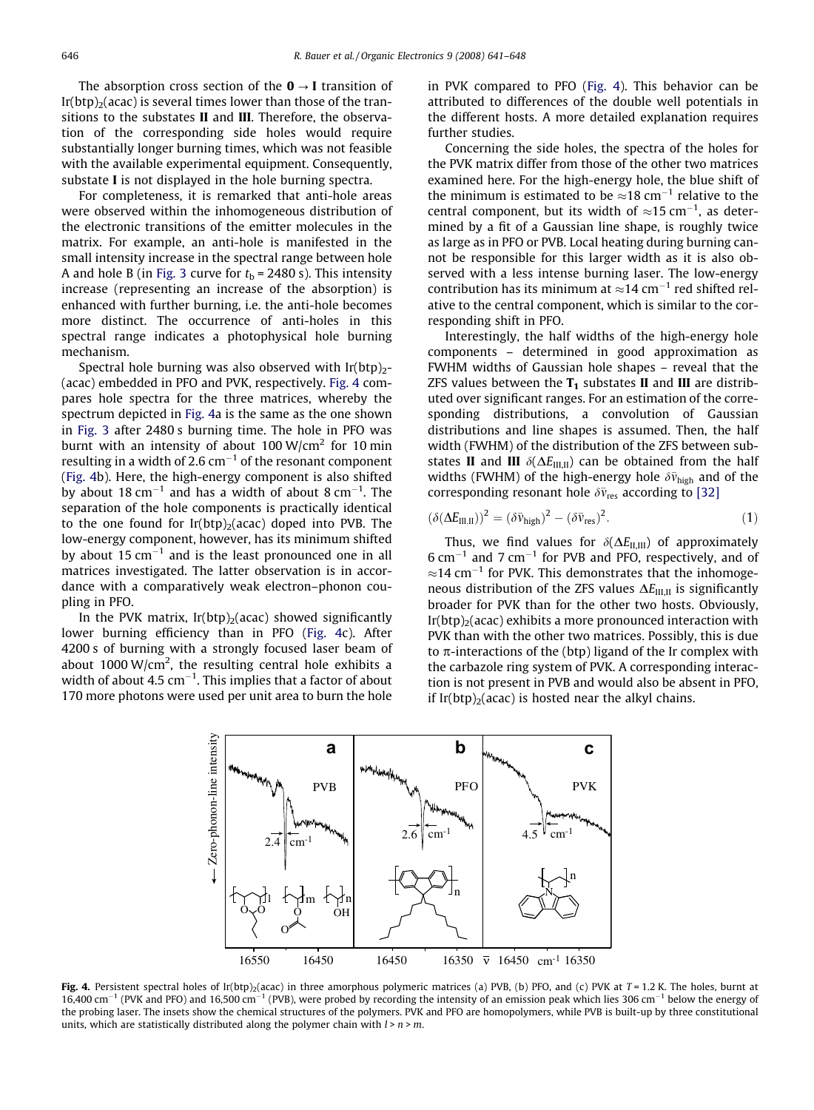The absorption cross section of the  $0 \rightarrow I$  transition of  $Ir(btp)_{2}(acac)$  is several times lower than those of the transitions to the substates II and III. Therefore, the observation of the corresponding side holes would require substantially longer burning times, which was not feasible with the available experimental equipment. Consequently, substate I is not displayed in the hole burning spectra.

For completeness, it is remarked that anti-hole areas were observed within the inhomogeneous distribution of the electronic transitions of the emitter molecules in the matrix. For example, an anti-hole is manifested in the small intensity increase in the spectral range between hole A and hole B (in [Fig. 3](#page-4-0) curve for  $t<sub>b</sub> = 2480$  s). This intensity increase (representing an increase of the absorption) is enhanced with further burning, i.e. the anti-hole becomes more distinct. The occurrence of anti-holes in this spectral range indicates a photophysical hole burning mechanism.

Spectral hole burning was also observed with  $Ir(btp)_{2}$ -(acac) embedded in PFO and PVK, respectively. Fig. 4 compares hole spectra for the three matrices, whereby the spectrum depicted in Fig. 4a is the same as the one shown in [Fig. 3](#page-4-0) after 2480 s burning time. The hole in PFO was burnt with an intensity of about 100 W/cm<sup>2</sup> for 10 min resulting in a width of 2.6  $cm^{-1}$  of the resonant component (Fig. 4b). Here, the high-energy component is also shifted by about 18  $cm^{-1}$  and has a width of about 8  $cm^{-1}$ . The separation of the hole components is practically identical to the one found for  $Ir(btp)_2(acac)$  doped into PVB. The low-energy component, however, has its minimum shifted by about  $15 \text{ cm}^{-1}$  and is the least pronounced one in all matrices investigated. The latter observation is in accordance with a comparatively weak electron–phonon coupling in PFO.

In the PVK matrix,  $Ir(btp)_2$ (acac) showed significantly lower burning efficiency than in PFO (Fig. 4c). After 4200 s of burning with a strongly focused laser beam of about 1000 W/cm<sup>2</sup>, the resulting central hole exhibits a width of about 4.5  $\text{cm}^{-1}$ . This implies that a factor of about 170 more photons were used per unit area to burn the hole in PVK compared to PFO (Fig. 4). This behavior can be attributed to differences of the double well potentials in the different hosts. A more detailed explanation requires further studies.

Concerning the side holes, the spectra of the holes for the PVK matrix differ from those of the other two matrices examined here. For the high-energy hole, the blue shift of the minimum is estimated to be  $\approx$ 18 cm<sup>-1</sup> relative to the central component, but its width of  $\approx$ 15 cm<sup>-1</sup>, as determined by a fit of a Gaussian line shape, is roughly twice as large as in PFO or PVB. Local heating during burning cannot be responsible for this larger width as it is also observed with a less intense burning laser. The low-energy contribution has its minimum at  $\approx$  14 cm<sup>-1</sup> red shifted relative to the central component, which is similar to the corresponding shift in PFO.

Interestingly, the half widths of the high-energy hole components – determined in good approximation as FWHM widths of Gaussian hole shapes – reveal that the ZFS values between the  $T_1$  substates II and III are distributed over significant ranges. For an estimation of the corresponding distributions, a convolution of Gaussian distributions and line shapes is assumed. Then, the half width (FWHM) of the distribution of the ZFS between substates II and III  $\delta(\Delta E_{\text{HII}})$  can be obtained from the half widths (FWHM) of the high-energy hole  $\delta \bar{v}_{\text{high}}$  and of the corresponding resonant hole  $\delta \bar{v}_{\text{res}}$  according to [\[32\]](#page-7-0)

$$
\left(\delta(\Delta E_{\text{III,II}})\right)^2 = \left(\delta \bar{\nu}_{\text{high}}\right)^2 - \left(\delta \bar{\nu}_{\text{res}}\right)^2. \tag{1}
$$

Thus, we find values for  $\delta(\Delta E_{\text{II,III}})$  of approximately  $6 \text{ cm}^{-1}$  and 7 cm<sup>-1</sup> for PVB and PFO, respectively, and of  $\approx$ 14 cm<sup>-1</sup> for PVK. This demonstrates that the inhomogeneous distribution of the ZFS values  $\Delta E_{\text{HJI}}$  is significantly broader for PVK than for the other two hosts. Obviously,  $Ir(btp)_{2}(acac)$  exhibits a more pronounced interaction with PVK than with the other two matrices. Possibly, this is due to  $\pi$ -interactions of the (btp) ligand of the Ir complex with the carbazole ring system of PVK. A corresponding interaction is not present in PVB and would also be absent in PFO, if  $Ir(btp)<sub>2</sub>(acac)$  is hosted near the alkyl chains.



Fig. 4. Persistent spectral holes of Ir(btp)<sub>2</sub>(acac) in three amorphous polymeric matrices (a) PVB, (b) PFO, and (c) PVK at  $T = 1.2$  K. The holes, burnt at 16,400 cm<sup>-1</sup> (PVK and PFO) and 16,500 cm<sup>-1</sup> (PVB), were probed by recording the intensity of an emission peak which lies 306 cm<sup>-1</sup> below the energy of the probing laser. The insets show the chemical structures of the polymers. PVK and PFO are homopolymers, while PVB is built-up by three constitutional units, which are statistically distributed along the polymer chain with  $l > n > m$ .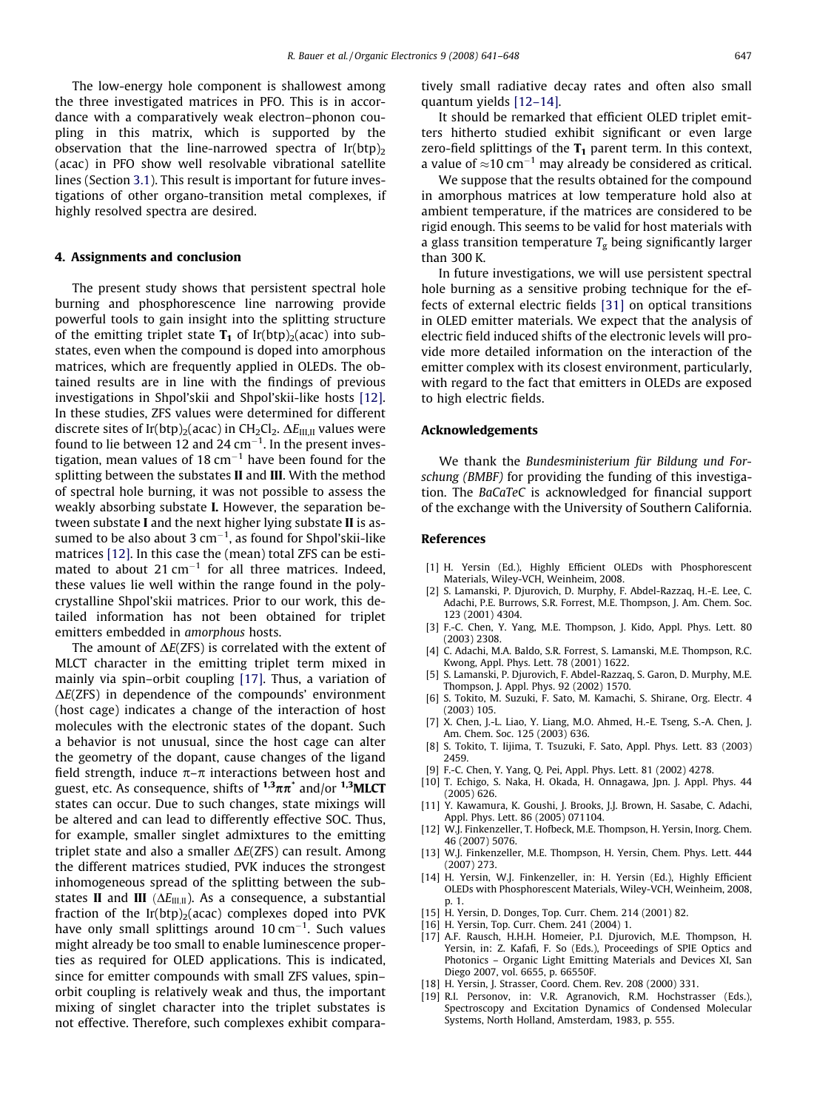<span id="page-6-0"></span>The low-energy hole component is shallowest among the three investigated matrices in PFO. This is in accordance with a comparatively weak electron–phonon coupling in this matrix, which is supported by the observation that the line-narrowed spectra of  $Ir(btp)_2$ (acac) in PFO show well resolvable vibrational satellite lines (Section 3.1). This result is important for future investigations of other organo-transition metal complexes, if highly resolved spectra are desired.

#### 4. Assignments and conclusion

The present study shows that persistent spectral hole burning and phosphorescence line narrowing provide powerful tools to gain insight into the splitting structure of the emitting triplet state  $T_1$  of Ir(btp)<sub>2</sub>(acac) into substates, even when the compound is doped into amorphous matrices, which are frequently applied in OLEDs. The obtained results are in line with the findings of previous investigations in Shpol'skii and Shpol'skii-like hosts [12]. In these studies, ZFS values were determined for different discrete sites of Ir(btp)<sub>2</sub>(acac) in CH<sub>2</sub>Cl<sub>2</sub>.  $\Delta E_{\text{HII}}$  values were found to lie between 12 and 24  $cm^{-1}$ . In the present investigation, mean values of 18  $cm^{-1}$  have been found for the splitting between the substates II and III. With the method of spectral hole burning, it was not possible to assess the weakly absorbing substate I. However, the separation between substate I and the next higher lying substate II is assumed to be also about 3  $\rm cm^{-1}$ , as found for Shpol'skii-like matrices [12]. In this case the (mean) total ZFS can be estimated to about  $21 \text{ cm}^{-1}$  for all three matrices. Indeed, these values lie well within the range found in the polycrystalline Shpol'skii matrices. Prior to our work, this detailed information has not been obtained for triplet emitters embedded in amorphous hosts.

The amount of  $\Delta E(ZFS)$  is correlated with the extent of MLCT character in the emitting triplet term mixed in mainly via spin–orbit coupling [17]. Thus, a variation of  $\Delta E(ZFS)$  in dependence of the compounds' environment (host cage) indicates a change of the interaction of host molecules with the electronic states of the dopant. Such a behavior is not unusual, since the host cage can alter the geometry of the dopant, cause changes of the ligand field strength, induce  $\pi-\pi$  interactions between host and guest, etc. As consequence, shifts of  $1.3\pi\pi^*$  and/or  $1.3$ MLCT states can occur. Due to such changes, state mixings will be altered and can lead to differently effective SOC. Thus, for example, smaller singlet admixtures to the emitting triplet state and also a smaller  $\Delta E(ZFS)$  can result. Among the different matrices studied, PVK induces the strongest inhomogeneous spread of the splitting between the substates II and III ( $\Delta E_{\text{HJI}}$ ). As a consequence, a substantial fraction of the Ir( $btp$ )<sub>2</sub>(acac) complexes doped into PVK have only small splittings around  $10 \text{ cm}^{-1}$ . Such values might already be too small to enable luminescence properties as required for OLED applications. This is indicated, since for emitter compounds with small ZFS values, spin– orbit coupling is relatively weak and thus, the important mixing of singlet character into the triplet substates is not effective. Therefore, such complexes exhibit comparatively small radiative decay rates and often also small quantum yields [12–14].

It should be remarked that efficient OLED triplet emitters hitherto studied exhibit significant or even large zero-field splittings of the  $T_1$  parent term. In this context, a value of  $\approx$ 10 cm<sup>-1</sup> may already be considered as critical.

We suppose that the results obtained for the compound in amorphous matrices at low temperature hold also at ambient temperature, if the matrices are considered to be rigid enough. This seems to be valid for host materials with a glass transition temperature  $T_g$  being significantly larger than 300 K.

In future investigations, we will use persistent spectral hole burning as a sensitive probing technique for the effects of external electric fields [\[31\]](#page-7-0) on optical transitions in OLED emitter materials. We expect that the analysis of electric field induced shifts of the electronic levels will provide more detailed information on the interaction of the emitter complex with its closest environment, particularly, with regard to the fact that emitters in OLEDs are exposed to high electric fields.

## Acknowledgements

We thank the Bundesministerium für Bildung und Forschung (BMBF) for providing the funding of this investigation. The BaCaTeC is acknowledged for financial support of the exchange with the University of Southern California.

#### References

- [1] H. Yersin (Ed.), Highly Efficient OLEDs with Phosphorescent Materials, Wiley-VCH, Weinheim, 2008.
- [2] S. Lamanski, P. Djurovich, D. Murphy, F. Abdel-Razzaq, H.-E. Lee, C. Adachi, P.E. Burrows, S.R. Forrest, M.E. Thompson, J. Am. Chem. Soc. 123 (2001) 4304.
- [3] F.-C. Chen, Y. Yang, M.E. Thompson, J. Kido, Appl. Phys. Lett. 80 (2003) 2308.
- [4] C. Adachi, M.A. Baldo, S.R. Forrest, S. Lamanski, M.E. Thompson, R.C. Kwong, Appl. Phys. Lett. 78 (2001) 1622.
- [5] S. Lamanski, P. Djurovich, F. Abdel-Razzaq, S. Garon, D. Murphy, M.E. Thompson, J. Appl. Phys. 92 (2002) 1570.
- [6] S. Tokito, M. Suzuki, F. Sato, M. Kamachi, S. Shirane, Org. Electr. 4 (2003) 105.
- [7] X. Chen, J.-L. Liao, Y. Liang, M.O. Ahmed, H.-E. Tseng, S.-A. Chen, J. Am. Chem. Soc. 125 (2003) 636.
- [8] S. Tokito, T. Iijima, T. Tsuzuki, F. Sato, Appl. Phys. Lett. 83 (2003) 2459.
- [9] F.-C. Chen, Y. Yang, Q. Pei, Appl. Phys. Lett. 81 (2002) 4278.
- [10] T. Echigo, S. Naka, H. Okada, H. Onnagawa, Jpn. J. Appl. Phys. 44 (2005) 626.
- [11] Y. Kawamura, K. Goushi, J. Brooks, J.J. Brown, H. Sasabe, C. Adachi, Appl. Phys. Lett. 86 (2005) 071104.
- [12] W.J. Finkenzeller, T. Hofbeck, M.E. Thompson, H. Yersin, Inorg. Chem. 46 (2007) 5076.
- [13] W.J. Finkenzeller, M.E. Thompson, H. Yersin, Chem. Phys. Lett. 444 (2007) 273.
- [14] H. Yersin, W.J. Finkenzeller, in: H. Yersin (Ed.), Highly Efficient OLEDs with Phosphorescent Materials, Wiley-VCH, Weinheim, 2008, p. 1.
- [15] H. Yersin, D. Donges, Top. Curr. Chem. 214 (2001) 82.
- [16] H. Yersin, Top. Curr. Chem. 241 (2004) 1.
- [17] A.F. Rausch, H.H.H. Homeier, P.I. Djurovich, M.E. Thompson, H. Yersin, in: Z. Kafafi, F. So (Eds.), Proceedings of SPIE Optics and Photonics – Organic Light Emitting Materials and Devices XI, San Diego 2007, vol. 6655, p. 66550F.
- [18] H. Yersin, J. Strasser, Coord. Chem. Rev. 208 (2000) 331.
- [19] R.I. Personov, in: V.R. Agranovich, R.M. Hochstrasser (Eds.), Spectroscopy and Excitation Dynamics of Condensed Molecular Systems, North Holland, Amsterdam, 1983, p. 555.